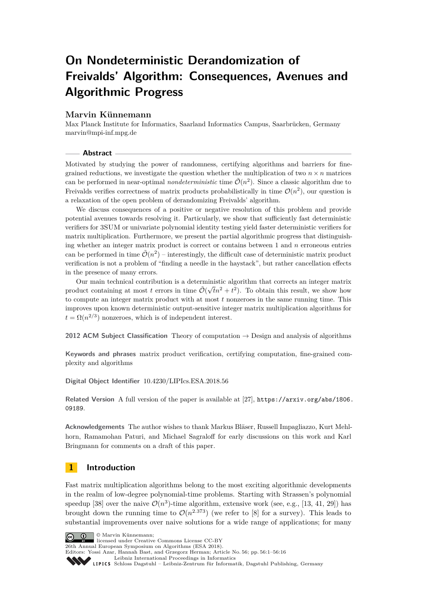# **On Nondeterministic Derandomization of Freivalds' Algorithm: Consequences, Avenues and Algorithmic Progress**

## **Marvin Künnemann**

Max Planck Institute for Informatics, Saarland Informatics Campus, Saarbrücken, Germany [marvin@mpi-inf.mpg.de](mailto:marvin@mpi-inf.mpg.de)

#### **Abstract**

Motivated by studying the power of randomness, certifying algorithms and barriers for finegrained reductions, we investigate the question whether the multiplication of two  $n \times n$  matrices can be performed in near-optimal *nondeterministic* time  $\tilde{\mathcal{O}}(n^2)$ . Since a classic algorithm due to Freivalds verifies correctness of matrix products probabilistically in time  $\mathcal{O}(n^2)$ , our question is a relaxation of the open problem of derandomizing Freivalds' algorithm.

We discuss consequences of a positive or negative resolution of this problem and provide potential avenues towards resolving it. Particularly, we show that sufficiently fast deterministic verifiers for 3SUM or univariate polynomial identity testing yield faster deterministic verifiers for matrix multiplication. Furthermore, we present the partial algorithmic progress that distinguishing whether an integer matrix product is correct or contains between 1 and *n* erroneous entries can be performed in time  $\tilde{\mathcal{O}}(n^2)$  – interestingly, the difficult case of deterministic matrix product verification is not a problem of "finding a needle in the haystack", but rather cancellation effects in the presence of many errors.

Our main technical contribution is a deterministic algorithm that corrects an integer matrix product containing at most *t* errors in time  $\tilde{\mathcal{O}}(\sqrt{tn^2 + t^2})$ . To obtain this result, we show how to compute an integer matrix product with at most *t* nonzeroes in the same running time. This improves upon known deterministic output-sensitive integer matrix multiplication algorithms for  $t = \Omega(n^{2/3})$  nonzeroes, which is of independent interest.

**2012 ACM Subject Classification** Theory of computation → Design and analysis of algorithms

**Keywords and phrases** matrix product verification, certifying computation, fine-grained complexity and algorithms

**Digital Object Identifier** [10.4230/LIPIcs.ESA.2018.56](http://dx.doi.org/10.4230/LIPIcs.ESA.2018.56)

Related Version A full version of the paper is available at [\[27\]](#page-13-0), [https://arxiv.org/abs/1806.](https://arxiv.org/abs/1806.09189) [09189](https://arxiv.org/abs/1806.09189).

**Acknowledgements** The author wishes to thank Markus Bläser, Russell Impagliazzo, Kurt Mehlhorn, Ramamohan Paturi, and Michael Sagraloff for early discussions on this work and Karl Bringmann for comments on a draft of this paper.

## **1 Introduction**

Fast matrix multiplication algorithms belong to the most exciting algorithmic developments in the realm of low-degree polynomial-time problems. Starting with Strassen's polynomial speedup [\[38\]](#page-14-0) over the naive  $\mathcal{O}(n^3)$ -time algorithm, extensive work (see, e.g., [\[13,](#page-13-1) [41,](#page-14-1) [29\]](#page-13-2)) has brought down the running time to  $\mathcal{O}(n^{2.373})$  (we refer to [\[8\]](#page-12-0) for a survey). This leads to substantial improvements over naive solutions for a wide range of applications; for many

© Marvin Künnemann;

licensed under Creative Commons License CC-BY

26th Annual European Symposium on Algorithms (ESA 2018). Editors: Yossi Azar, Hannah Bast, and Grzegorz Herman; Article No. 56; pp. 56:1–56[:16](#page-15-0)

[Leibniz International Proceedings in Informatics](http://www.dagstuhl.de/lipics/)

[Schloss Dagstuhl – Leibniz-Zentrum für Informatik, Dagstuhl Publishing, Germany](http://www.dagstuhl.de)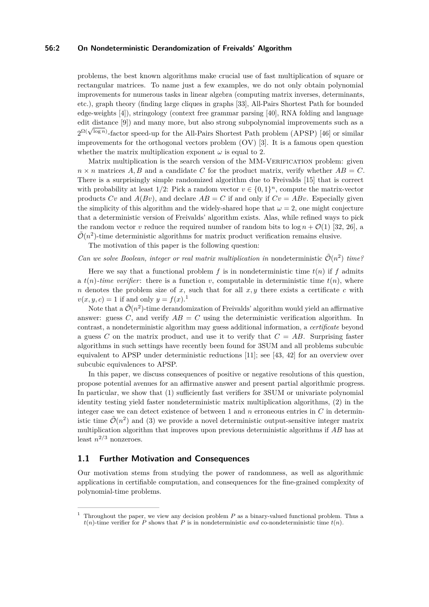#### **56:2 On Nondeterministic Derandomization of Freivalds' Algorithm**

problems, the best known algorithms make crucial use of fast multiplication of square or rectangular matrices. To name just a few examples, we do not only obtain polynomial improvements for numerous tasks in linear algebra (computing matrix inverses, determinants, etc.), graph theory (finding large cliques in graphs [\[33\]](#page-14-2), All-Pairs Shortest Path for bounded edge-weights [\[4\]](#page-12-1)), stringology (context free grammar parsing [\[40\]](#page-14-3), RNA folding and language edit distance [\[9\]](#page-12-2)) and many more, but also strong subpolynomial improvements such as a edit distance [9]) and many more, but also strong subporynomial improvements such as a<br> $2^{\Omega(\sqrt{\log n})}$ -factor speed-up for the All-Pairs Shortest Path problem (APSP) [\[46\]](#page-14-4) or similar improvements for the orthogonal vectors problem (OV) [\[3\]](#page-12-3). It is a famous open question whether the matrix multiplication exponent  $\omega$  is equal to 2.

Matrix multiplication is the search version of the MM-VERIFICATION problem: given  $n \times n$  matrices *A, B* and a candidate *C* for the product matrix, verify whether  $AB = C$ . There is a surprisingly simple randomized algorithm due to Freivalds [\[15\]](#page-13-3) that is correct with probability at least  $1/2$ : Pick a random vector  $v \in \{0,1\}^n$ , compute the matrix-vector products  $Cv$  and  $A(Bv)$ , and declare  $AB = C$  if and only if  $Cv = ABv$ . Especially given the simplicity of this algorithm and the widely-shared hope that  $\omega = 2$ , one might conjecture that a deterministic version of Freivalds' algorithm exists. Alas, while refined ways to pick the random vector *v* reduce the required number of random bits to  $\log n + \mathcal{O}(1)$  [\[32,](#page-14-5) [26\]](#page-13-4), a  $\tilde{\mathcal{O}}(n^2)$ -time deterministic algorithms for matrix product verification remains elusive.

The motivation of this paper is the following question:

## *Can we solve Boolean, integer or real matrix multiplication in* nondeterministic  $\tilde{\mathcal{O}}(n^2)$  time?

Here we say that a functional problem  $f$  is in nondeterministic time  $t(n)$  if  $f$  admits a  $t(n)$ -time verifier: there is a function v, computable in deterministic time  $t(n)$ , where *n* denotes the problem size of *x*, such that for all *x, y* there exists a certificate *c* with  $v(x, y, c) = 1$  $v(x, y, c) = 1$  if and only  $y = f(x)$ .<sup>1</sup>

Note that a  $\tilde{\mathcal{O}}(n^2)$ -time derandomization of Freivalds' algorithm would yield an affirmative answer: guess  $C$ , and verify  $AB = C$  using the deterministic verification algorithm. In contrast, a nondeterministic algorithm may guess additional information, a *certificate* beyond a guess *C* on the matrix product, and use it to verify that  $C = AB$ . Surprising faster algorithms in such settings have recently been found for 3SUM and all problems subcubic equivalent to APSP under deterministic reductions [\[11\]](#page-12-4); see [\[43,](#page-14-6) [42\]](#page-14-7) for an overview over subcubic equivalences to APSP.

In this paper, we discuss consequences of positive or negative resolutions of this question, propose potential avenues for an affirmative answer and present partial algorithmic progress. In particular, we show that (1) sufficiently fast verifiers for 3SUM or univariate polynomial identity testing yield faster nondeterministic matrix multiplication algorithms, (2) in the integer case we can detect existence of between 1 and *n* erroneous entries in *C* in deterministic time  $\mathcal{O}(n^2)$  and (3) we provide a novel deterministic output-sensitive integer matrix multiplication algorithm that improves upon previous deterministic algorithms if *AB* has at least  $n^{2/3}$  nonzeroes.

#### **1.1 Further Motivation and Consequences**

Our motivation stems from studying the power of randomness, as well as algorithmic applications in certifiable computation, and consequences for the fine-grained complexity of polynomial-time problems.

<span id="page-1-0"></span><sup>1</sup> Throughout the paper, we view any decision problem *P* as a binary-valued functional problem. Thus a  $t(n)$ -time verifier for *P* shows that *P* is in nondeterministic *and* co-nondeterministic time  $t(n)$ .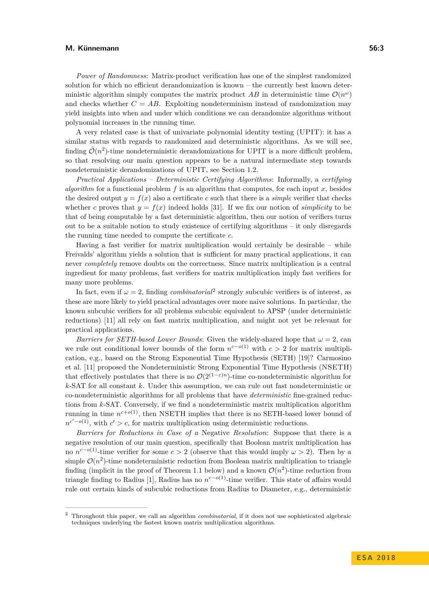#### **M. Künnemann 56:3**

*Power of Randomness*: Matrix-product verification has one of the simplest randomized solution for which no efficient derandomization is known – the currently best known deterministic algorithm simply computes the matrix product AB in deterministic time  $\mathcal{O}(n^{\omega})$ and checks whether  $C = AB$ . Exploiting nondeterminism instead of randomization may yield insights into when and under which conditions we can derandomize algorithms without polynomial increases in the running time.

A very related case is that of univariate polynomial identity testing (UPIT): it has a similar status with regards to randomized and deterministic algorithms. As we will see, finding  $\tilde{\mathcal{O}}(n^2)$ -time nondeterministic derandomizations for UPIT is a more difficult problem, so that resolving our main question appears to be a natural intermediate step towards nondeterministic derandomizations of UPIT, see Section [1.2.](#page-3-0)

*Practical Applications – Deterministic Certifying Algorithms*: Informally, a *certifying algorithm* for a functional problem  $f$  is an algorithm that computes, for each input  $x$ , besides the desired output  $y = f(x)$  also a certificate c such that there is a *simple* verifier that checks whether *c* proves that  $y = f(x)$  indeed holds [\[31\]](#page-14-8). If we fix our notion of *simplicity* to be that of being computable by a fast deterministic algorithm, then our notion of verifiers turns out to be a suitable notion to study existence of certifying algorithms – it only disregards the running time needed to compute the certificate *c*.

Having a fast verifier for matrix multiplication would certainly be desirable – while Freivalds' algorithm yields a solution that is sufficient for many practical applications, it can never *completely* remove doubts on the correctness. Since matrix multiplication is a central ingredient for many problems, fast verifiers for matrix multiplication imply fast verifiers for many more problems.

In fact, even if  $\omega = 2$  $\omega = 2$ , finding *combinatorial*<sup>2</sup> strongly subcubic verifiers is of interest, as these are more likely to yield practical advantages over more naive solutions. In particular, the known subcubic verifiers for all problems subcubic equivalent to APSP (under deterministic reductions) [\[11\]](#page-12-4) all rely on fast matrix multiplication, and might not yet be relevant for practical applications.

*Barriers for SETH-based Lower Bounds*: Given the widely-shared hope that  $\omega = 2$ , can we rule out conditional lower bounds of the form  $n^{c-o(1)}$  with  $c > 2$  for matrix multiplication, e.g., based on the Strong Exponential Time Hypothesis (SETH) [\[19\]](#page-13-5)? Carmosino et al. [\[11\]](#page-12-4) proposed the Nondeterministic Strong Exponential Time Hypothesis (NSETH) that effectively postulates that there is no  $\mathcal{O}(2^{(1-\varepsilon)n})$ -time co-nondeterministic algorithm for *k*-SAT for all constant *k*. Under this assumption, we can rule out fast nondeterministic or co-nondeterministic algorithms for all problems that have *deterministic* fine-grained reductions from *k*-SAT. Conversely, if we find a nondeterministic matrix multiplication algorithm running in time  $n^{c+o(1)}$ , then NSETH implies that there is no SETH-based lower bound of  $n^{c'-o(1)}$ , with  $c' > c$ , for matrix multiplication using deterministic reductions.

*Barriers for Reductions in Case of a* Negative *Resolution*: Suppose that there is a negative resolution of our main question, specifically that Boolean matrix multiplication has no  $n^{c-o(1)}$ -time verifier for some  $c > 2$  (observe that this would imply  $\omega > 2$ ). Then by a simple  $\mathcal{O}(n^2)$ -time nondeterministic reduction from Boolean matrix multiplication to triangle finding (implicit in the proof of Theorem [1.1](#page-3-1) below) and a known  $\mathcal{O}(n^2)$ -time reduction from triangle finding to Radius [\[1\]](#page-12-5), Radius has no *n <sup>c</sup>*−*o*(1)-time verifier. This state of affairs would rule out certain kinds of subcubic reductions from Radius to Diameter, e.g., deterministic

<span id="page-2-0"></span><sup>2</sup> Throughout this paper, we call an algorithm *combinatorial*, if it does not use sophisticated algebraic techniques underlying the fastest known matrix multiplication algorithms.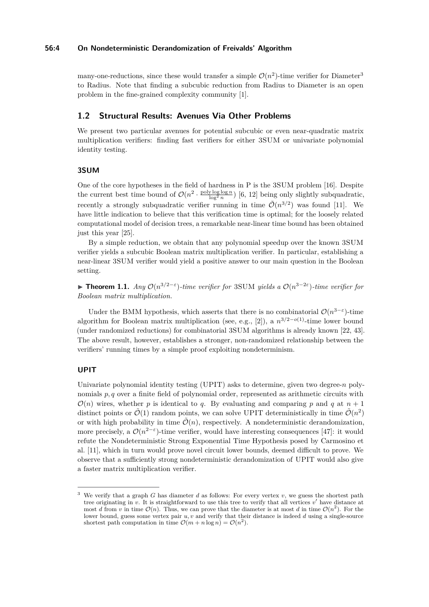#### **56:4 On Nondeterministic Derandomization of Freivalds' Algorithm**

many-one-reductions, since these would transfer a simple  $\mathcal{O}(n^2)$ -time verifier for Diameter<sup>[3](#page-3-2)</sup> to Radius. Note that finding a subcubic reduction from Radius to Diameter is an open problem in the fine-grained complexity community [\[1\]](#page-12-5).

## <span id="page-3-0"></span>**1.2 Structural Results: Avenues Via Other Problems**

We present two particular avenues for potential subcubic or even near-quadratic matrix multiplication verifiers: finding fast verifiers for either 3SUM or univariate polynomial identity testing.

#### **3SUM**

One of the core hypotheses in the field of hardness in P is the 3SUM problem [\[16\]](#page-13-6). Despite the current best time bound of  $\mathcal{O}(n^2 \cdot \frac{\text{poly}\log\log n}{\log^2 n})$  [\[6,](#page-12-6) [12\]](#page-12-7) being only slightly subquadratic, recently a strongly subquadratic verifier running in time  $\tilde{\mathcal{O}}(n^{3/2})$  was found [\[11\]](#page-12-4). We have little indication to believe that this verification time is optimal; for the loosely related computational model of decision trees, a remarkable near-linear time bound has been obtained just this year [\[25\]](#page-13-7).

By a simple reduction, we obtain that any polynomial speedup over the known 3SUM verifier yields a subcubic Boolean matrix multiplication verifier. In particular, establishing a near-linear 3SUM verifier would yield a positive answer to our main question in the Boolean setting.

<span id="page-3-1"></span>**► Theorem 1.1.** *Any*  $\mathcal{O}(n^{3/2-\epsilon})$ -time verifier for 3SUM yields a  $\mathcal{O}(n^{3-2\epsilon})$ -time verifier for *Boolean matrix multiplication.*

Under the BMM hypothesis, which asserts that there is no combinatorial  $\mathcal{O}(n^{3-\epsilon})$ -time algorithm for Boolean matrix multiplication (see, e.g., [\[2\]](#page-12-8)), a *n* <sup>3</sup>*/*2−*o*(1)-time lower bound (under randomized reductions) for combinatorial 3SUM algorithms is already known [\[22,](#page-13-8) [43\]](#page-14-6). The above result, however, establishes a stronger, non-randomized relationship between the verifiers' running times by a simple proof exploiting nondeterminism.

#### **UPIT**

Univariate polynomial identity testing (UPIT) asks to determine, given two degree-*n* polynomials *p, q* over a finite field of polynomial order, represented as arithmetic circuits with  $\mathcal{O}(n)$  wires, whether p is identical to q. By evaluating and comparing p and q at  $n+1$ distinct points or  $\tilde{\mathcal{O}}(1)$  random points, we can solve UPIT deterministically in time  $\tilde{\mathcal{O}}(n^2)$ or with high probability in time  $\tilde{\mathcal{O}}(n)$ , respectively. A nondeterministic derandomization, more precisely, a  $\mathcal{O}(n^{2-\epsilon})$ -time verifier, would have interesting consequences [\[47\]](#page-14-9): it would refute the Nondeterministic Strong Exponential Time Hypothesis posed by Carmosino et al. [\[11\]](#page-12-4), which in turn would prove novel circuit lower bounds, deemed difficult to prove. We observe that a sufficiently strong nondeterministic derandomization of UPIT would also give a faster matrix multiplication verifier.

<span id="page-3-2"></span><sup>3</sup> We verify that a graph *G* has diameter *d* as follows: For every vertex *v*, we guess the shortest path tree originating in *v*. It is straightforward to use this tree to verify that all vertices *v*' have distance at most *d* from *v* in time  $\mathcal{O}(n)$ . Thus, we can prove that the diameter is at most *d* in time  $\mathcal{O}(n^2)$ . For the lower bound, guess some vertex pair *u, v* and verify that their distance is indeed *d* using a single-source shortest path computation in time  $\mathcal{O}(m + n \log n) = \mathcal{O}(n^2)$ .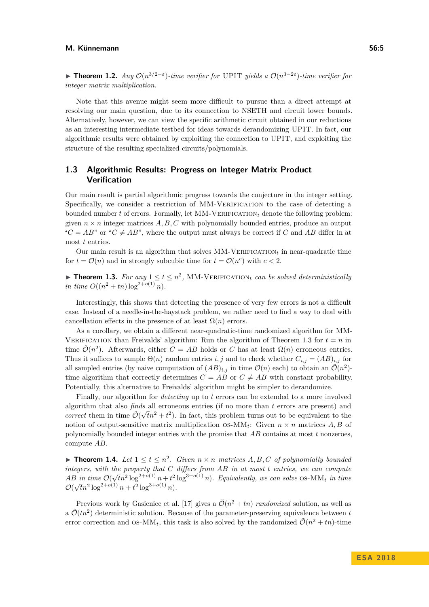**► Theorem 1.2.** *Any*  $O(n^{3/2-\epsilon})$ *-time verifier for* UPIT *yields a*  $O(n^{3-2\epsilon})$ *-time verifier for integer matrix multiplication.*

Note that this avenue might seem more difficult to pursue than a direct attempt at resolving our main question, due to its connection to NSETH and circuit lower bounds. Alternatively, however, we can view the specific arithmetic circuit obtained in our reductions as an interesting intermediate testbed for ideas towards derandomizing UPIT. In fact, our algorithmic results were obtained by exploiting the connection to UPIT, and exploiting the structure of the resulting specialized circuits/polynomials.

## **1.3 Algorithmic Results: Progress on Integer Matrix Product Verification**

Our main result is partial algorithmic progress towards the conjecture in the integer setting. Specifically, we consider a restriction of MM-Verification to the case of detecting a bounded number  $t$  of errors. Formally, let  $MM-VERIFICATION_t$  denote the following problem: given  $n \times n$  integer matrices  $A, B, C$  with polynomially bounded entries, produce an output " $C = AB$ " or " $C \neq AB$ ", where the output must always be correct if *C* and *AB* differ in at most *t* entries.

Our main result is an algorithm that solves  $MM-VERIFICATION<sub>t</sub>$  in near-quadratic time for  $t = \mathcal{O}(n)$  and in strongly subcubic time for  $t = \mathcal{O}(n^c)$  with  $c < 2$ .

<span id="page-4-0"></span>**Theorem 1.3.** For any  $1 \le t \le n^2$ , MM-VERIFICATION<sub>t</sub> can be solved deterministically *in time*  $O((n^2 + tn) \log^{2+o(1)} n)$ *.* 

Interestingly, this shows that detecting the presence of very few errors is not a difficult case. Instead of a needle-in-the-haystack problem, we rather need to find a way to deal with cancellation effects in the presence of at least  $\Omega(n)$  errors.

As a corollary, we obtain a different near-quadratic-time randomized algorithm for MM-VERIFICATION than Freivalds' algorithm: Run the algorithm of Theorem [1.3](#page-4-0) for  $t = n$  in time  $\tilde{\mathcal{O}}(n^2)$ . Afterwards, either  $C = AB$  holds or *C* has at least  $\Omega(n)$  erroneous entries. Thus it suffices to sample  $\Theta(n)$  random entries *i, j* and to check whether  $C_{i,j} = (AB)_{i,j}$  for all sampled entries (by naive computation of  $(AB)_{i,j}$  in time  $\mathcal{O}(n)$  each) to obtain an  $\mathcal{O}(n^2)$ time algorithm that correctly determines  $C = AB$  or  $C \neq AB$  with constant probability. Potentially, this alternative to Freivalds' algorithm might be simpler to derandomize.

Finally, our algorithm for *detecting* up to *t* errors can be extended to a more involved algorithm that also *finds* all erroneous entries (if no more than *t* errors are present) and *correct* them in time  $\tilde{\mathcal{O}}(\sqrt{t}n^2 + t^2)$ . In fact, this problem turns out to be equivalent to the notion of output-sensitive matrix multiplication  $OS-MM_t$ : Given  $n \times n$  matrices A, B of polynomially bounded integer entries with the promise that *AB* contains at most *t* nonzeroes, compute *AB*.

<span id="page-4-1"></span>**Fineorem 1.4.** Let  $1 \le t \le n^2$ . Given  $n \times n$  matrices  $A, B, C$  of polynomially bounded *integers, with the property that C differs from AB in at most t entries, we can compute AB in time* O( *time*  $\mathcal{O}(\sqrt{tn^2 \log^{2+o(1)} n} + t^2 \log^{3+o(1)} n)$ . Equivalently, we can solve OS-MM<sub>t</sub> in time  $\mathcal{O}(\sqrt{t}n^2 \log^{2+o(1)} n + t^2 \log^{3+o(1)} n).$ 

Previous work by Gasieniec et al. [\[17\]](#page-13-9) gives a  $\tilde{\mathcal{O}}(n^2 + tn)$  *randomized* solution, as well as a  $\tilde{\mathcal{O}}(tn^2)$  deterministic solution. Because of the parameter-preserving equivalence between *t* error correction and  $OS-MM_t$ , this task is also solved by the randomized  $\tilde{\mathcal{O}}(n^2 + tn)$ -time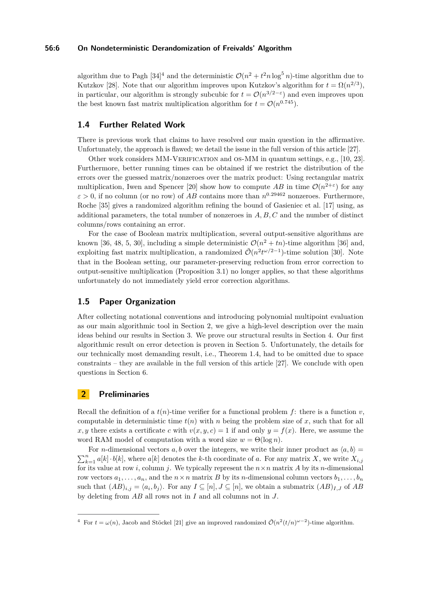#### **56:6 On Nondeterministic Derandomization of Freivalds' Algorithm**

algorithm due to Pagh  $[34]^4$  $[34]^4$  $[34]^4$  and the deterministic  $\mathcal{O}(n^2 + t^2 n \log^5 n)$ -time algorithm due to Kutzkov [\[28\]](#page-13-10). Note that our algorithm improves upon Kutzkov's algorithm for  $t = \Omega(n^{2/3})$ , in particular, our algorithm is strongly subcubic for  $t = \mathcal{O}(n^{3/2-\epsilon})$  and even improves upon the best known fast matrix multiplication algorithm for  $t = \mathcal{O}(n^{0.745})$ .

### **1.4 Further Related Work**

There is previous work that claims to have resolved our main question in the affirmative. Unfortunately, the approach is flawed; we detail the issue in the full version of this article [\[27\]](#page-13-0).

Other work considers MM-VERIFICATION and OS-MM in quantum settings, e.g., [\[10,](#page-12-9) [23\]](#page-13-11). Furthermore, better running times can be obtained if we restrict the distribution of the errors over the guessed matrix/nonzeroes over the matrix product: Using rectangular matrix multiplication, Iwen and Spencer [\[20\]](#page-13-12) show how to compute  $AB$  in time  $\mathcal{O}(n^{2+\epsilon})$  for any  $\varepsilon > 0$ , if no column (or no row) of *AB* contains more than  $n^{0.29462}$  nonzeroes. Furthermore, Roche [\[35\]](#page-14-11) gives a randomized algorithm refining the bound of Gasieniec et al. [\[17\]](#page-13-9) using, as additional parameters, the total number of nonzeroes in *A, B, C* and the number of distinct columns/rows containing an error.

For the case of Boolean matrix multiplication, several output-sensitive algorithms are known [\[36,](#page-14-12) [48,](#page-15-1) [5,](#page-12-10) [30\]](#page-14-13), including a simple deterministic  $\mathcal{O}(n^2 + tn)$ -time algorithm [\[36\]](#page-14-12) and, exploiting fast matrix multiplication, a randomized  $\tilde{\mathcal{O}}(n^2 t^{\omega/2-1})$ -time solution [\[30\]](#page-14-13). Note that in the Boolean setting, our parameter-preserving reduction from error correction to output-sensitive multiplication (Proposition [3.1\)](#page-6-0) no longer applies, so that these algorithms unfortunately do not immediately yield error correction algorithms.

## **1.5 Paper Organization**

After collecting notational conventions and introducing polynomial multipoint evaluation as our main algorithmic tool in Section [2,](#page-5-1) we give a high-level description over the main ideas behind our results in Section [3.](#page-6-1) We prove our structural results in Section [4.](#page-8-0) Our first algorithmic result on error detection is proven in Section [5.](#page-9-0) Unfortunately, the details for our technically most demanding result, i.e., Theorem [1.4,](#page-4-1) had to be omitted due to space constraints – they are available in the full version of this article  $[27]$ . We conclude with open questions in Section [6.](#page-11-0)

## <span id="page-5-1"></span>**2 Preliminaries**

Recall the definition of a  $t(n)$ -time verifier for a functional problem f: there is a function  $v$ , computable in deterministic time  $t(n)$  with *n* being the problem size of *x*, such that for all *x, y* there exists a certificate *c* with  $v(x, y, c) = 1$  if and only  $y = f(x)$ . Here, we assume the word RAM model of computation with a word size  $w = \Theta(\log n)$ .

For *n*-dimensional vectors *a*, *b* over the integers, we write their inner product as  $\langle a, b \rangle =$  $\sum_{k=1}^{n} a[k] \cdot b[k]$ , where  $a[k]$  denotes the *k*-th coordinate of *a*. For any matrix *X*, we write  $X_{i,j}$ for its value at row *i*, column *j*. We typically represent the  $n \times n$  matrix *A* by its *n*-dimensional row vectors  $a_1, \ldots, a_n$ , and the  $n \times n$  matrix *B* by its *n*-dimensional column vectors  $b_1, \ldots, b_n$ such that  $(AB)_{i,j} = \langle a_i, b_j \rangle$ . For any  $I \subseteq [n], J \subseteq [n]$ , we obtain a submatrix  $(AB)_{I,J}$  of  $AB$ by deleting from *AB* all rows not in *I* and all columns not in *J*.

<span id="page-5-0"></span><sup>&</sup>lt;sup>4</sup> For  $t = \omega(n)$ , Jacob and Stöckel [\[21\]](#page-13-13) give an improved randomized  $\tilde{\mathcal{O}}(n^2(t/n)^{\omega-2})$ -time algorithm.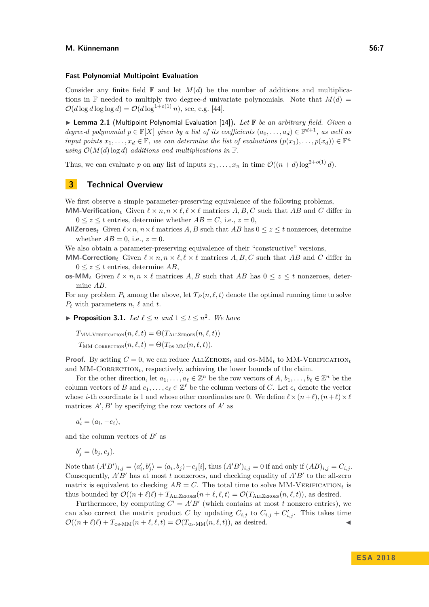#### **Fast Polynomial Multipoint Evaluation**

Consider any finite field  $\mathbb F$  and let  $M(d)$  be the number of additions and multiplications in F needed to multiply two degree-*d* univariate polynomials. Note that  $M(d)$  =  $\mathcal{O}(d \log d \log \log d) = \mathcal{O}(d \log^{1+o(1)} n)$ , see, e.g. [\[44\]](#page-14-14).

<span id="page-6-2"></span>▶ Lemma 2.1 (Multipoint Polynomial Evaluation [\[14\]](#page-13-14)). Let **F** be an arbitrary field. Given a *degree-d polynomial*  $p \in \mathbb{F}[X]$  *given by a list of its coefficients*  $(a_0, \ldots, a_d) \in \mathbb{F}^{d+1}$ *, as well as input points*  $x_1, \ldots, x_d \in \mathbb{F}$ *, we can determine the list of evaluations*  $(p(x_1), \ldots, p(x_d)) \in \mathbb{F}^n$ *using*  $\mathcal{O}(M(d) \log d)$  *additions and multiplications in*  $\mathbb{F}$ *.* 

Thus, we can evaluate *p* on any list of inputs  $x_1, \ldots, x_n$  in time  $\mathcal{O}((n+d) \log^{2+o(1)} d)$ .

## <span id="page-6-1"></span>**3 Technical Overview**

We first observe a simple parameter-preserving equivalence of the following problems,

**MM-Verification**<sub>t</sub> Given  $\ell \times n, n \times \ell, \ell \times \ell$  matrices *A, B, C* such that *AB* and *C* differ in  $0 \leq z \leq t$  entries, determine whether  $AB = C$ , i.e.,  $z = 0$ ,

**AllZeroes**<sub>*t*</sub> Given  $\ell \times n, n \times \ell$  matrices *A, B* such that *AB* has  $0 \leq z \leq t$  nonzeroes, determine whether  $AB = 0$ , i.e.,  $z = 0$ .

We also obtain a parameter-preserving equivalence of their "constructive" versions,

**MM-Correction**<sub>t</sub> Given  $\ell \times n, n \times \ell, \ell \times \ell$  matrices *A, B, C* such that *AB* and *C* differ in  $0 \leq z \leq t$  entries, determine AB,

**os-MM**<sub>t</sub> Given  $\ell \times n, n \times \ell$  matrices *A, B* such that *AB* has  $0 \leq z \leq t$  nonzeroes, determine *AB*.

For any problem  $P_t$  among the above, let  $T_P(n, \ell, t)$  denote the optimal running time to solve  $P_t$  with parameters  $n, \ell$  and  $t$ .

<span id="page-6-0"></span>**Proposition 3.1.** Let  $\ell \leq n$  and  $1 \leq t \leq n^2$ . We have

 $T_{\text{MM-VERIFICATION}}(n, \ell, t) = \Theta(T_{\text{ALLZEROES}}(n, \ell, t))$  $T_{\text{MM-CORRECTION}}(n, \ell, t) = \Theta(T_{\text{OS-MM}}(n, \ell, t)).$ 

**Proof.** By setting  $C = 0$ , we can reduce  $ALLZEROES<sub>t</sub>$  and  $OS-MM<sub>t</sub>$  to  $MM-VERIFICATION<sub>t</sub>$ and  $MM$ -CORRECTION<sub>t</sub>, respectively, achieving the lower bounds of the claim.

For the other direction, let  $a_1, \ldots, a_\ell \in \mathbb{Z}^n$  be the row vectors of  $A, b_1, \ldots, b_\ell \in \mathbb{Z}^n$  be the column vectors of *B* and  $c_1, \ldots, c_\ell \in \mathbb{Z}^\ell$  be the column vectors of *C*. Let  $e_i$  denote the vector whose *i*-th coordinate is 1 and whose other coordinates are 0. We define  $\ell \times (n+\ell)$ ,  $(n+\ell) \times \ell$ matrices  $A', B'$  by specifying the row vectors of  $A'$  as

 $a'_{i} = (a_{i}, -e_{i}),$ 

and the column vectors of  $B'$  as

 $b'_{j} = (b_{j}, c_{j}).$ 

Note that  $(A'B')_{i,j} = \langle a'_i, b'_j \rangle = \langle a_i, b_j \rangle - c_j[i]$ , thus  $(A'B')_{i,j} = 0$  if and only if  $(AB)_{i,j} = C_{i,j}$ . Consequently,  $A'B'$  has at most *t* nonzeroes, and checking equality of  $A'B'$  to the all-zero matrix is equivalent to checking  $AB = C$ . The total time to solve MM-VERIFICATION<sub>t</sub> is thus bounded by  $\mathcal{O}((n+\ell)\ell) + T_{\text{ALLZEROES}}(n+\ell,\ell,t) = \mathcal{O}(T_{\text{ALLZEROES}}(n,\ell,t)),$  as desired.

Furthermore, by computing  $C' = A'B'$  (which contains at most *t* nonzero entries), we can also correct the matrix product *C* by updating  $C_{i,j}$  to  $C_{i,j} + C'_{i,j}$ . This takes time  $\mathcal{O}((n+\ell)\ell) + T_{\text{OS-MM}}(n+\ell,\ell,t) = \mathcal{O}(T_{\text{OS-MM}}(n,\ell,t)),$  as desired.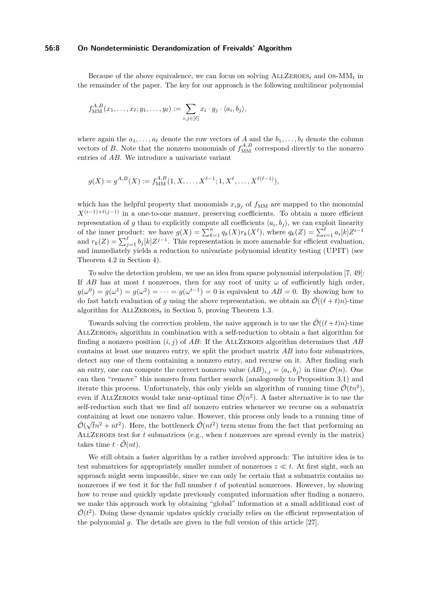#### **56:8 On Nondeterministic Derandomization of Freivalds' Algorithm**

Because of the above equivalence, we can focus on solving  $ALLZEROES<sub>t</sub>$  and  $OS-MM<sub>t</sub>$  in the remainder of the paper. The key for our approach is the following multilinear polynomial

$$
f_{\text{MM}}^{A,B}(x_1,\ldots,x_\ell;y_1,\ldots,y_\ell):=\sum_{i,j\in[\ell]}x_i\cdot y_j\cdot\langle a_i,b_j\rangle,
$$

where again the  $a_1, \ldots, a_\ell$  denote the row vectors of *A* and the  $b_1, \ldots, b_\ell$  denote the column vectors of *B*. Note that the nonzero monomials of  $f_{\text{MM}}^{A,B}$  correspond directly to the nonzero entries of *AB*. We introduce a univariate variant

$$
g(X) = g^{A,B}(X) := f_{\text{MM}}^{A,B}(1, X, \dots, X^{\ell-1}; 1, X^{\ell}, \dots, X^{\ell(\ell-1)}),
$$

which has the helpful property that monomials  $x_i y_j$  of  $f_{MM}$  are mapped to the monomial  $X^{(i-1)+\ell(j-1)}$  in a one-to-one manner, preserving coefficients. To obtain a more efficient representation of *g* than to explicitly compute all coefficients  $\langle a_i, b_j \rangle$ , we can exploit linearity of the inner product: we have  $g(X) = \sum_{k=1}^{n} q_k(X) r_k(X^{\ell})$ , where  $q_k(Z) = \sum_{i=1}^{\ell} a_i[k] Z^{i-1}$ and  $r_k(Z) = \sum_{j=1}^{\ell} b_j[k] Z^{j-1}$ . This representation is more amenable for efficient evaluation, and immediately yields a reduction to univariate polynomial identity testing (UPIT) (see Theorem [4.2](#page-9-1) in Section [4\)](#page-8-0).

To solve the detection problem, we use an idea from sparse polynomial interpolation [\[7,](#page-12-11) [49\]](#page-15-2): If  $AB$  has at most  $t$  nonzeroes, then for any root of unity  $\omega$  of sufficiently high order,  $g(\omega^0) = g(\omega^1) = g(\omega^2) = \cdots = g(\omega^{t-1}) = 0$  is equivalent to  $AB = 0$ . By showing how to do fast batch evaluation of *g* using the above representation, we obtain an  $\tilde{\mathcal{O}}((\ell + t)n)$ -time algorithm for  $ALLZEROES_t$  in Section [5,](#page-9-0) proving Theorem [1.3.](#page-4-0)

Towards solving the correction problem, the naive approach is to use the  $\mathcal{O}((\ell + t)n)$ -time AllZeroes*<sup>t</sup>* algorithm in combination with a self-reduction to obtain a fast algorithm for finding a nonzero position  $(i, j)$  of AB: If the ALLZEROES algorithm determines that AB contains at least one nonzero entry, we split the product matrix *AB* into four submatrices, detect any one of them containing a nonzero entry, and recurse on it. After finding such an entry, one can compute the correct nonzero value  $(AB)_{i,j} = \langle a_i, b_j \rangle$  in time  $\mathcal{O}(n)$ . One can then "remove" this nonzero from further search (analogously to Proposition [3.1\)](#page-6-0) and iterate this process. Unfortunately, this only yields an algorithm of running time  $\tilde{\mathcal{O}}(tn^2)$ , even if ALLZEROES would take near-optimal time  $\tilde{\mathcal{O}}(n^2)$ . A faster alternative is to use the self-reduction such that we find *all* nonzero entries whenever we recurse on a submatrix containing at least one nonzero value. However, this process only leads to a running time of  $\tilde{\mathcal{O}}(\sqrt{t}n^2 + nt^2)$ . Here, the bottleneck  $\tilde{\mathcal{O}}(nt^2)$  term stems from the fact that performing an AllZeroes test for *t* submatrices (e.g., when *t* nonzeroes are spread evenly in the matrix) takes time  $t \cdot \tilde{\mathcal{O}}(nt)$ .

We still obtain a faster algorithm by a rather involved approach: The intuitive idea is to test submatrices for appropriately smaller number of nonzeroes  $z \ll t$ . At first sight, such an approach might seem impossible, since we can only be certain that a submatrix contains no nonzeroes if we test it for the full number *t* of potential nonzeroes. However, by showing how to reuse and quickly update previously computed information after finding a nonzero, we make this approach work by obtaining "global" information at a small additional cost of  $\tilde{\mathcal{O}}(t^2)$ . Doing these dynamic updates quickly crucially relies on the efficient representation of the polynomial *g*. The details are given in the full version of this article [\[27\]](#page-13-0).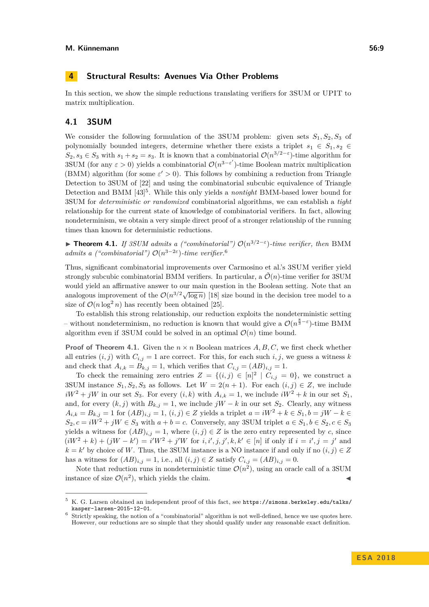<span id="page-8-0"></span>In this section, we show the simple reductions translating verifiers for 3SUM or UPIT to matrix multiplication.

## **4.1 3SUM**

We consider the following formulation of the 3SUM problem: given sets  $S_1, S_2, S_3$  of polynomially bounded integers, determine whether there exists a triplet  $s_1 \in S_1$ ,  $s_2 \in$ *S*<sub>2</sub>*, s*<sub>3</sub> ∈ *S*<sub>3</sub> with *s*<sub>1</sub> + *s*<sub>2</sub> = *s*<sub>3</sub>. It is known that a combinatorial  $\mathcal{O}(n^{3/2-\epsilon})$ -time algorithm for 3SUM (for any  $\varepsilon > 0$ ) yields a combinatorial  $\mathcal{O}(n^{3-\varepsilon'})$ -time Boolean matrix multiplication (BMM) algorithm (for some  $\varepsilon' > 0$ ). This follows by combining a reduction from Triangle Detection to 3SUM of [\[22\]](#page-13-8) and using the combinatorial subcubic equivalence of Triangle Detection and BMM [\[43\]](#page-14-6) [5](#page-8-1) . While this only yields a *nontight* BMM-based lower bound for 3SUM for *deterministic or randomized* combinatorial algorithms, we can establish a *tight* relationship for the current state of knowledge of combinatorial verifiers. In fact, allowing nondeterminism, we obtain a very simple direct proof of a stronger relationship of the running times than known for deterministic reductions.

<span id="page-8-3"></span>**► Theorem 4.1.** If 3SUM admits a ("combinatorial")  $O(n^{3/2-\epsilon})$ -time verifier, then BMM *admits a ("combinatorial")*  $O(n^{3-2\varepsilon})$ -time verifier.<sup>[6](#page-8-2)</sup>

Thus, significant combinatorial improvements over Carmosino et al.'s 3SUM verifier yield strongly subcubic combinatorial BMM verifiers. In particular, a  $\mathcal{O}(n)$ -time verifier for 3SUM would yield an affirmative answer to our main question in the Boolean setting. Note that an analogous improvement of the  $O(n^{3/2}\sqrt{\log n})$  [\[18\]](#page-13-15) size bound in the decision tree model to a size of  $\mathcal{O}(n \log^2 n)$  has recently been obtained [\[25\]](#page-13-7).

To establish this strong relationship, our reduction exploits the nondeterministic setting – without nondeterminism, no reduction is known that would give a  $\mathcal{O}(n^{\frac{8}{3}-\varepsilon})$ -time BMM algorithm even if 3SUM could be solved in an optimal  $\mathcal{O}(n)$  time bound.

**Proof of Theorem [4.1.](#page-8-3)** Given the  $n \times n$  Boolean matrices  $A, B, C$ , we first check whether all entries  $(i, j)$  with  $C_{i,j} = 1$  are correct. For this, for each such  $i, j$ , we guess a witness  $k$ and check that  $A_{i,k} = B_{k,j} = 1$ , which verifies that  $C_{i,j} = (AB)_{i,j} = 1$ .

To check the remaining zero entries  $Z = \{(i,j) \in [n]^2 | C_{i,j} = 0\}$ , we construct a 3SUM instance  $S_1, S_2, S_3$  as follows. Let  $W = 2(n+1)$ . For each  $(i, j) \in Z$ , we include  $iW^2 + jW$  in our set *S*<sub>3</sub>. For every  $(i, k)$  with  $A_{i,k} = 1$ , we include  $iW^2 + k$  in our set  $S_1$ , and, for every  $(k, j)$  with  $B_{k,j} = 1$ , we include  $jW - k$  in our set  $S_2$ . Clearly, any witness *A*<sub>*i*,*k*</sub> = *B*<sub>*k*,*j*</sub> = 1 for  $(AB)_{i,j} = 1$ ,  $(i, j) \in Z$  yields a triplet  $a = iW^2 + k \in S_1, b = jW - k \in$  $S_2, c = iW^2 + jW \in S_3$  with  $a + b = c$ . Conversely, any 3SUM triplet  $a \in S_1, b \in S_2, c \in S_3$ yields a witness for  $(AB)_{i,j} = 1$ , where  $(i, j) \in Z$  is the zero entry represented by *c*, since  $(iW^2 + k) + (jW - k') = i'W^2 + j'W$  for  $i, i', j, j', k, k' \in [n]$  if only if  $i = i', j = j'$  and  $k = k'$  by choice of *W*. Thus, the 3SUM instance is a NO instance if and only if no  $(i, j) \in Z$ has a witness for  $(AB)_{i,j} = 1$ , i.e., all  $(i, j) \in Z$  satisfy  $C_{i,j} = (AB)_{i,j} = 0$ .

Note that reduction runs in nondeterministic time  $\mathcal{O}(n^2)$ , using an oracle call of a 3SUM instance of size  $\mathcal{O}(n^2)$ , which yields the claim.

<span id="page-8-1"></span> $5\,$  K. G. Larsen obtained an independent proof of this fact, see [https://simons.berkeley.edu/talks/](https://simons.berkeley.edu/talks/kasper-larsen-2015-12-01) [kasper-larsen-2015-12-01](https://simons.berkeley.edu/talks/kasper-larsen-2015-12-01).

<span id="page-8-2"></span><sup>6</sup> Strictly speaking, the notion of a "combinatorial" algorithm is not well-defined, hence we use quotes here. However, our reductions are so simple that they should qualify under any reasonable exact definition.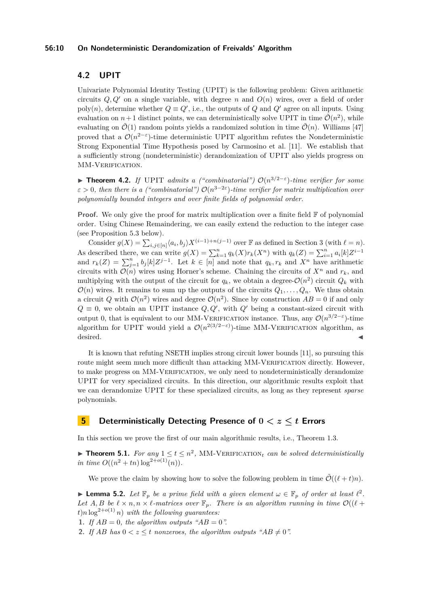#### **56:10 On Nondeterministic Derandomization of Freivalds' Algorithm**

## **4.2 UPIT**

Univariate Polynomial Identity Testing (UPIT) is the following problem: Given arithmetic circuits  $Q, Q'$  on a single variable, with degree *n* and  $Q(n)$  wires, over a field of order poly(*n*), determine whether  $Q \equiv Q'$ , i.e., the outputs of  $Q$  and  $Q'$  agree on all inputs. Using evaluation on  $n+1$  distinct points, we can deterministically solve UPIT in time  $\tilde{\mathcal{O}}(n^2)$ , while evaluating on  $\mathcal{O}(1)$  random points yields a randomized solution in time  $\mathcal{O}(n)$ . Williams [\[47\]](#page-14-9) proved that a  $\mathcal{O}(n^{2-\epsilon})$ -time deterministic UPIT algorithm refutes the Nondeterministic Strong Exponential Time Hypothesis posed by Carmosino et al. [\[11\]](#page-12-4). We establish that a sufficiently strong (nondeterministic) derandomization of UPIT also yields progress on MM-VERIFICATION.

<span id="page-9-1"></span>**► Theorem 4.2.** *If* UPIT *admits a ("combinatorial")*  $O(n^{3/2-\epsilon})$ -time verifier for some  $\varepsilon > 0$ , then there is a ("combinatorial")  $\mathcal{O}(n^{3-2\varepsilon})$ -time verifier for matrix multiplication over *polynomially bounded integers and over finite fields of polynomial order.*

**Proof.** We only give the proof for matrix multiplication over a finite field  $\mathbb{F}$  of polynomial order. Using Chinese Remaindering, we can easily extend the reduction to the integer case (see Proposition [5.3](#page-10-0) below).

Consider  $g(X) = \sum_{i,j \in [n]} \langle a_i, b_j \rangle X^{(i-1)+n(j-1)}$  over **F** as defined in Section [3](#page-6-1) (with  $\ell = n$ ). As described there, we can write  $g(X) = \sum_{k=1}^{n} q_k(X) r_k(X^n)$  with  $q_k(Z) = \sum_{i=1}^{n} a_i[k] Z^{i-1}$ and  $r_k(Z) = \sum_{j=1}^n b_j[k]Z^{j-1}$ . Let  $k \in [n]$  and note that  $q_k, r_k$  and  $X^n$  have arithmetic circuits with  $\mathcal{O}(n)$  wires using Horner's scheme. Chaining the circuits of  $X^n$  and  $r_k$ , and multiplying with the output of the circuit for  $q_k$ , we obtain a degree- $\mathcal{O}(n^2)$  circuit  $Q_k$  with  $\mathcal{O}(n)$  wires. It remains to sum up the outputs of the circuits  $Q_1, \ldots, Q_n$ . We thus obtain a circuit Q with  $\mathcal{O}(n^2)$  wires and degree  $\mathcal{O}(n^2)$ . Since by construction  $AB = 0$  if and only  $Q \equiv 0$ , we obtain an UPIT instance  $Q, Q'$ , with  $Q'$  being a constant-sized circuit with output 0, that is equivalent to our MM-VERIFICATION instance. Thus, any  $\mathcal{O}(n^{3/2-\epsilon})$ -time algorithm for UPIT would yield a  $\mathcal{O}(n^{2(3/2-\varepsilon)})$ -time MM-VERIFICATION algorithm, as  $\blacksquare$  desired.

It is known that refuting NSETH implies strong circuit lower bounds [\[11\]](#page-12-4), so pursuing this route might seem much more difficult than attacking MM-VERIFICATION directly. However, to make progress on MM-Verification, we only need to nondeterministically derandomize UPIT for very specialized circuits. In this direction, our algorithmic results exploit that we can derandomize UPIT for these specialized circuits, as long as they represent *sparse* polynomials.

## <span id="page-9-0"></span>**5 Deterministically Detecting Presence of 0** *< z* **≤** *t* **Errors**

In this section we prove the first of our main algorithmic results, i.e., Theorem [1.3.](#page-4-0)

<span id="page-9-3"></span>**Theorem 5.1.** For any  $1 \le t \le n^2$ , MM-VERIFICATION<sub>t</sub> can be solved deterministically *in time*  $O((n^2 + tn) \log^{2+o(1)}(n))$ *.* 

We prove the claim by showing how to solve the following problem in time  $\tilde{\mathcal{O}}((\ell + t)n)$ .

<span id="page-9-2"></span>**I Lemma 5.2.** Let  $\mathbb{F}_p$  be a prime field with a given element  $\omega \in \mathbb{F}_p$  of order at least  $\ell^2$ . Let  $A, B$  be  $\ell \times n, n \times \ell$ -matrices over  $\mathbb{F}_p$ . There is an algorithm running in time  $\mathcal{O}((\ell +$  $t$ )*n*  $\log^{2+o(1)} n$ *) with the following guarantees:* 

**1.** If  $AB = 0$ , the algorithm outputs " $AB = 0$ ".

**2.** If AB has  $0 < z < t$  nonzeroes, the algorithm outputs " $AB \neq 0$ ".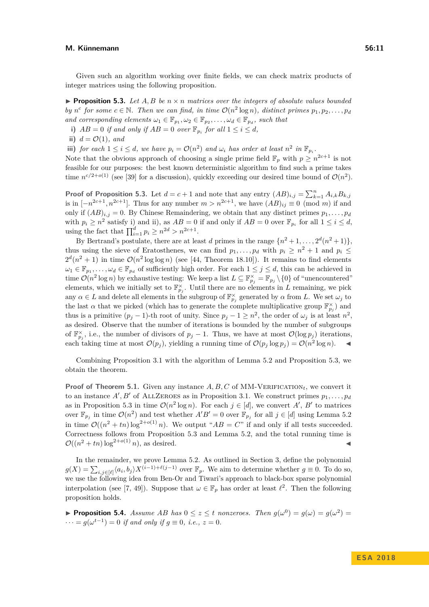#### **M. Künnemann 56:11**

Given such an algorithm working over finite fields, we can check matrix products of integer matrices using the following proposition.

<span id="page-10-0"></span>**Proposition 5.3.** Let  $A, B$  be  $n \times n$  matrices over the integers of absolute values bounded *by*  $n^c$  for some  $c \in \mathbb{N}$ . Then we can find, in time  $\mathcal{O}(n^2 \log n)$ , distinct primes  $p_1, p_2, \ldots, p_d$ *and corresponding elements*  $\omega_1 \in \mathbb{F}_{p_1}, \omega_2 \in \mathbb{F}_{p_2}, \ldots, \omega_d \in \mathbb{F}_{p_d}$ , such that

- <span id="page-10-1"></span>**i)**  $AB = 0$  if and only if  $AB = 0$  over  $\mathbb{F}_{p_i}$  for all  $1 \leq i \leq d$ ,
- <span id="page-10-2"></span>**ii)**  $d = \mathcal{O}(1)$ *, and*

**iii)** *for each*  $1 \leq i \leq d$ *, we have*  $p_i = \mathcal{O}(n^2)$  *and*  $\omega_i$  *has order at least*  $n^2$  *in*  $\mathbb{F}_{p_i}$ *.* 

Note that the obvious approach of choosing a single prime field  $\mathbb{F}_p$  with  $p \geq n^{2c+1}$  is not feasible for our purposes: the best known deterministic algorithm to find such a prime takes time  $n^{c/2+o(1)}$  (see [\[39\]](#page-14-15) for a discussion), quickly exceeding our desired time bound of  $\mathcal{O}(n^2)$ .

**Proof of Proposition [5.3.](#page-10-0)** Let  $d = c + 1$  and note that any entry  $(AB)_{i,j} = \sum_{k=1}^{n} A_{i,k} B_{k,j}$ is in  $[-n^{2c+1}, n^{2c+1}]$ . Thus for any number  $m > n^{2c+1}$ , we have  $(AB)_{ij} \equiv 0 \pmod{m}$  if and only if  $(AB)_{i,j} = 0$ . By Chinese Remaindering, we obtain that any distinct primes  $p_1, \ldots, p_d$ with  $p_i \ge n^2$  satisfy [i\)](#page-10-1) and [ii\)](#page-10-2), as  $AB = 0$  if and only if  $AB = 0$  over  $\mathbb{F}_{p_i}$  for all  $1 \le i \le d$ , using the fact that  $\prod_{i=1}^{d} p_i \geq n^{2d} > n^{2c+1}$ .

By Bertrand's postulate, there are at least *d* primes in the range  $\{n^2 + 1, \ldots, 2^d(n^2 + 1)\}\$ thus using the sieve of Eratosthenes, we can find  $p_1, \ldots, p_d$  with  $p_i \geq n^2 + 1$  and  $p_i \leq$  $2^d(n^2+1)$  in time  $\mathcal{O}(n^2 \log \log n)$  (see [\[44,](#page-14-14) Theorem 18.10]). It remains to find elements  $\omega_1 \in \mathbb{F}_{p_1}, \ldots, \omega_d \in \mathbb{F}_{p_d}$  of sufficiently high order. For each  $1 \leq j \leq d$ , this can be achieved in time  $\mathcal{O}(n^2 \log n)$  by exhaustive testing: We keep a list  $L \subseteq \mathbb{F}_{p_j}^{\times} = \mathbb{F}_{p_j} \setminus \{0\}$  of "unencountered" elements, which we initially set to  $\mathbb{F}_{p_j}^{\times}$ . Until there are no elements in *L* remaining, we pick any  $\alpha \in L$  and delete all elements in the subgroup of  $\mathbb{F}_{p_j}^{\times}$  generated by  $\alpha$  from *L*. We set  $\omega_j$  to the last  $\alpha$  that we picked (which has to generate the complete multiplicative group  $\mathbb{F}_{p_j}^{\times}$ ) and thus is a primitive  $(p_j - 1)$ -th root of unity. Since  $p_j - 1 \geq n^2$ , the order of  $\omega_j$  is at least  $n^2$ , as desired. Observe that the number of iterations is bounded by the number of subgroups of  $\mathbb{F}_{p_j}^{\times}$ , i.e., the number of divisors of  $p_j - 1$ . Thus, we have at most  $\mathcal{O}(\log p_j)$  iterations, each taking time at most  $\mathcal{O}(p_j)$ , yielding a running time of  $\mathcal{O}(p_j \log p_j) = \mathcal{O}(n^2 \log n)$ .

Combining Proposition [3.1](#page-6-0) with the algorithm of Lemma [5.2](#page-9-2) and Proposition [5.3,](#page-10-0) we obtain the theorem.

**Proof of Theorem [5.1.](#page-9-3)** Given any instance  $A, B, C$  of MM-VERIFICATION<sub>t</sub>, we convert it to an instance  $A', B'$  of ALLZEROES as in Proposition [3.1.](#page-6-0) We construct primes  $p_1, \ldots, p_d$ as in Proposition [5.3](#page-10-0) in time  $\mathcal{O}(n^2 \log n)$ . For each  $j \in [d]$ , we convert A', B' to matrices over  $\mathbb{F}_{p_j}$  in time  $\mathcal{O}(n^2)$  and test whether  $A'B' = 0$  over  $\mathbb{F}_{p_j}$  for all  $j \in [d]$  using Lemma [5.2](#page-9-2) in time  $\mathcal{O}((n^2 + tn) \log^{2+o(1)} n)$ . We output " $AB = C$ " if and only if all tests succeeded. Correctness follows from Proposition [5.3](#page-10-0) and Lemma [5.2,](#page-9-2) and the total running time is  $\mathcal{O}((n^2 + tn)\log^{2+o(1)}n)$ , as desired.

In the remainder, we prove Lemma [5.2.](#page-9-2) As outlined in Section [3,](#page-6-1) define the polynomial  $g(X) = \sum_{i,j \in [\ell]} \langle a_i, b_j \rangle X^{(i-1)+\ell(j-1)}$  over  $\mathbb{F}_p$ . We aim to determine whether  $g \equiv 0$ . To do so, we use the following idea from Ben-Or and Tiwari's approach to black-box sparse polynomial interpolation (see [\[7,](#page-12-11) [49\]](#page-15-2)). Suppose that  $\omega \in \mathbb{F}_p$  has order at least  $\ell^2$ . Then the following proposition holds.

<span id="page-10-3"></span>**Proposition 5.4.** *Assume AB has*  $0 \le z \le t$  *nonzeroes. Then*  $g(\omega^0) = g(\omega) = g(\omega^2)$  $\dots = g(\omega^{t-1}) = 0$  *if and only if*  $g \equiv 0$ *, i.e.,*  $z = 0$ *.*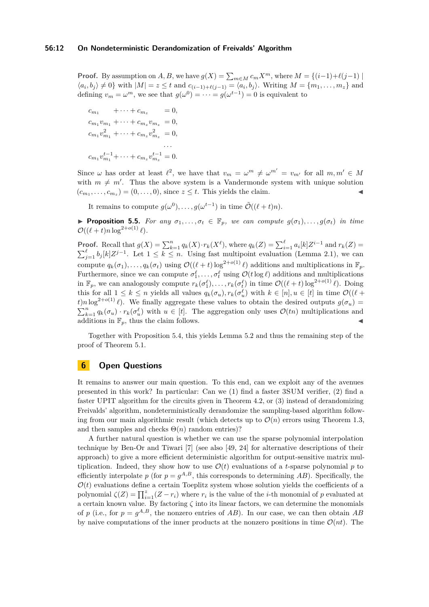**Proof.** By assumption on *A*, *B*, we have  $g(X) = \sum_{m \in M} c_m X^m$ , where  $M = \{(i-1)+\ell(j-1) \mid$  $\langle a_i, b_j \rangle \neq 0$ } with  $|M| = z \leq t$  and  $c_{(i-1)+\ell(j-1)} = \langle a_i, b_j \rangle$ . Writing  $M = \{m_1, \ldots, m_z\}$  and defining  $v_m = \omega^m$ , we see that  $g(\omega^0) = \cdots = g(\omega^{t-1}) = 0$  is equivalent to

 $c_{m_1}$  + · · · +  $c_{m_2}$  = 0*,*  $c_{m_1}v_{m_1} + \cdots + c_{m_z}v_{m_z} = 0,$  $c_{m_1}v_{m_1}^2 + \cdots + c_{m_z}v_{m_z}^2 = 0,$ *. . .*  $c_{m_1}v_{m_1}^{t-1} + \cdots + c_{m_z}v_{m_z}^{t-1} = 0.$ 

Since  $\omega$  has order at least  $\ell^2$ , we have that  $v_m = \omega^m \neq \omega^{m'} = v_{m'}$  for all  $m, m' \in M$ with  $m \neq m'$ . Thus the above system is a Vandermonde system with unique solution  $(c_{m_1}, \ldots, c_{m_z}) = (0, \ldots, 0)$ , since  $z \leq t$ . This yields the claim.

It remains to compute  $g(\omega^0), \ldots, g(\omega^{t-1})$  in time  $\tilde{\mathcal{O}}((\ell + t)n)$ .

**Proposition 5.5.** *For any*  $\sigma_1, \ldots, \sigma_t \in \mathbb{F}_p$ *, we can compute*  $g(\sigma_1), \ldots, g(\sigma_t)$  *in time*  $\mathcal{O}((\ell + t) n \log^{2+o(1)} \ell).$ 

**Proof.** Recall that  $g(X) = \sum_{k=1}^{n} q_k(X) \cdot r_k(X^{\ell})$ , where  $q_k(Z) = \sum_{i=1}^{\ell} a_i[k]Z^{i-1}$  and  $r_k(Z) =$  $\sum_{j=1}^{\ell} b_j[k] Z^{j-1}$ . Let  $1 \leq k \leq n$ . Using fast multipoint evaluation (Lemma [2.1\)](#page-6-2), we can compute  $q_k(\sigma_1), \ldots, q_k(\sigma_t)$  using  $\mathcal{O}((\ell + t) \log^{2+o(1)} \ell)$  additions and multiplications in  $\mathbb{F}_p$ . Furthermore, since we can compute  $\sigma_1^{\ell}, \ldots, \sigma_t^{\ell}$  using  $\mathcal{O}(t \log \ell)$  additions and multiplications in  $\mathbb{F}_p$ , we can analogously compute  $r_k(\sigma_1^{\ell}), \ldots, r_k(\sigma_t^{\ell})$  in time  $\mathcal{O}((\ell + t) \log^{2+o(1)} \ell)$ . Doing this for all  $1 \leq k \leq n$  yields all values  $q_k(\sigma_u), r_k(\sigma_u^{\ell})$  with  $k \in [n], u \in [t]$  in time  $\mathcal{O}((\ell +$ *t*)*n* log<sup>2+*o*(1)</sup>  $\ell$ ). We finally aggregate these values to obtain the desired outputs  $g(\sigma_u)$  =  $\sum_{k=1}^{n} q_k(\sigma_u) \cdot r_k(\sigma_u^{\ell})$  with  $u \in [t]$ . The aggregation only uses  $\mathcal{O}(tn)$  multiplications and additions in  $\mathbb{F}_p$ , thus the claim follows.

Together with Proposition [5.4,](#page-10-3) this yields Lemma [5.2](#page-9-2) and thus the remaining step of the proof of Theorem [5.1.](#page-9-3)

## <span id="page-11-0"></span>**6 Open Questions**

It remains to answer our main question. To this end, can we exploit any of the avenues presented in this work? In particular: Can we (1) find a faster 3SUM verifier, (2) find a faster UPIT algorithm for the circuits given in Theorem [4.2,](#page-9-1) or (3) instead of derandomizing Freivalds' algorithm, nondeterministically derandomize the sampling-based algorithm following from our main algorithmic result (which detects up to  $\mathcal{O}(n)$  errors using Theorem [1.3,](#page-4-0) and then samples and checks  $\Theta(n)$  random entries)?

A further natural question is whether we can use the sparse polynomial interpolation technique by Ben-Or and Tiwari [\[7\]](#page-12-11) (see also [\[49,](#page-15-2) [24\]](#page-13-16) for alternative descriptions of their approach) to give a more efficient deterministic algorithm for output-sensitive matrix multiplication. Indeed, they show how to use  $\mathcal{O}(t)$  evaluations of a *t*-sparse polynomial p to efficiently interpolate  $p$  (for  $p = g^{A,B}$ , this corresponds to determining  $AB$ ). Specifically, the  $\mathcal{O}(t)$  evaluations define a certain Toeplitz system whose solution yields the coefficients of a polynomial  $\zeta(Z) = \prod_{i=1}^{z} (Z - r_i)$  where  $r_i$  is the value of the *i*-th monomial of *p* evaluated at a certain known value. By factoring  $\zeta$  into its linear factors, we can determine the monomials of *p* (i.e., for  $p = g^{A,B}$ , the nonzero entries of AB). In our case, we can then obtain AB by naive computations of the inner products at the nonzero positions in time  $\mathcal{O}(nt)$ . The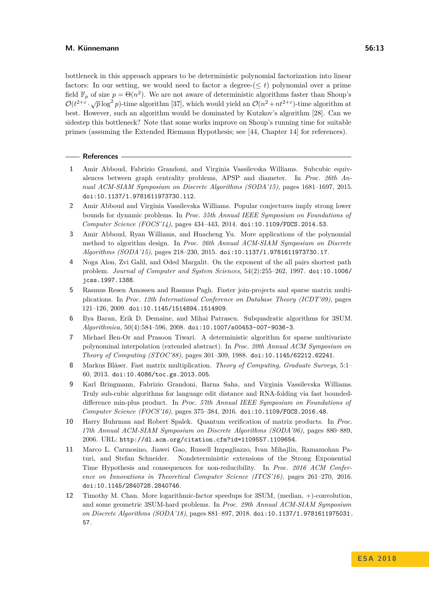bottleneck in this approach appears to be deterministic polynomial factorization into linear factors: In our setting, we would need to factor a degree- $(\leq t)$  polynomial over a prime field  $\mathbb{F}_p$  of size  $p = \Theta(n^2)$ . We are not aware of deterministic algorithms faster than Shoup's  $\mathcal{O}(t^{2+\varepsilon} \cdot \sqrt{p} \log^2 p)$ -time algorithm [\[37\]](#page-14-16), which would yield an  $\mathcal{O}(n^2 + nt^{2+\varepsilon})$ -time algorithm at best. However, such an algorithm would be dominated by Kutzkov's algorithm [\[28\]](#page-13-10). Can we sidestep this bottleneck? Note that some works improve on Shoup's running time for suitable primes (assuming the Extended Riemann Hypothesis; see [\[44,](#page-14-14) Chapter 14] for references).

#### **References**

- <span id="page-12-5"></span>**1** Amir Abboud, Fabrizio Grandoni, and Virginia Vassilevska Williams. Subcubic equivalences between graph centrality problems, APSP and diameter. In *Proc. 26th Annual ACM-SIAM Symposium on Discrete Algorithms (SODA'15)*, pages 1681–1697, 2015. [doi:10.1137/1.9781611973730.112](http://dx.doi.org/10.1137/1.9781611973730.112).
- <span id="page-12-8"></span>**2** Amir Abboud and Virginia Vassilevska Williams. Popular conjectures imply strong lower bounds for dynamic problems. In *Proc. 55th Annual IEEE Symposium on Foundations of Computer Science (FOCS'14)*, pages 434–443, 2014. [doi:10.1109/FOCS.2014.53](http://dx.doi.org/10.1109/FOCS.2014.53).
- <span id="page-12-3"></span>**3** Amir Abboud, Ryan Williams, and Huacheng Yu. More applications of the polynomial method to algorithm design. In *Proc. 26th Annual ACM-SIAM Symposium on Discrete Algorithms (SODA'15)*, pages 218–230, 2015. [doi:10.1137/1.9781611973730.17](http://dx.doi.org/10.1137/1.9781611973730.17).
- <span id="page-12-1"></span>**4** Noga Alon, Zvi Galil, and Oded Margalit. On the exponent of the all pairs shortest path problem. *Journal of Computer and System Sciences*, 54(2):255–262, 1997. [doi:10.1006/](http://dx.doi.org/10.1006/jcss.1997.1388) [jcss.1997.1388](http://dx.doi.org/10.1006/jcss.1997.1388).
- <span id="page-12-10"></span>**5** Rasmus Resen Amossen and Rasmus Pagh. Faster join-projects and sparse matrix multiplications. In *Proc. 12th International Conference on Database Theory (ICDT'09)*, pages 121–126, 2009. [doi:10.1145/1514894.1514909](http://dx.doi.org/10.1145/1514894.1514909).
- <span id="page-12-6"></span>**6** Ilya Baran, Erik D. Demaine, and Mihai Patrascu. Subquadratic algorithms for 3SUM. *Algorithmica*, 50(4):584–596, 2008. [doi:10.1007/s00453-007-9036-3](http://dx.doi.org/10.1007/s00453-007-9036-3).
- <span id="page-12-11"></span>**7** Michael Ben-Or and Prasoon Tiwari. A deterministic algorithm for sparse multivariate polynominal interpolation (extended abstract). In *Proc. 20th Annual ACM Symposium on Theory of Computing (STOC'88)*, pages 301–309, 1988. [doi:10.1145/62212.62241](http://dx.doi.org/10.1145/62212.62241).
- <span id="page-12-0"></span>**8** Markus Bläser. Fast matrix multiplication. *Theory of Computing, Graduate Surveys*, 5:1– 60, 2013. [doi:10.4086/toc.gs.2013.005](http://dx.doi.org/10.4086/toc.gs.2013.005).
- <span id="page-12-2"></span>**9** Karl Bringmann, Fabrizio Grandoni, Barna Saha, and Virginia Vassilevska Williams. Truly sub-cubic algorithms for language edit distance and RNA-folding via fast boundeddifference min-plus product. In *Proc. 57th Annual IEEE Symposium on Foundations of Computer Science (FOCS'16)*, pages 375–384, 2016. [doi:10.1109/FOCS.2016.48](http://dx.doi.org/10.1109/FOCS.2016.48).
- <span id="page-12-9"></span>**10** Harry Buhrman and Robert Spalek. Quantum verification of matrix products. In *Proc. 17th Annual ACM-SIAM Symposium on Discrete Algorithms (SODA'06)*, pages 880–889, 2006. URL: <http://dl.acm.org/citation.cfm?id=1109557.1109654>.
- <span id="page-12-4"></span>**11** Marco L. Carmosino, Jiawei Gao, Russell Impagliazzo, Ivan Mihajlin, Ramamohan Paturi, and Stefan Schneider. Nondeterministic extensions of the Strong Exponential Time Hypothesis and consequences for non-reducibility. In *Proc. 2016 ACM Conference on Innovations in Theoretical Computer Science (ITCS'16)*, pages 261–270, 2016. [doi:10.1145/2840728.2840746](http://dx.doi.org/10.1145/2840728.2840746).
- <span id="page-12-7"></span>**12** Timothy M. Chan. More logarithmic-factor speedups for 3SUM, (median, +)-convolution, and some geometric 3SUM-hard problems. In *Proc. 29th Annual ACM-SIAM Symposium on Discrete Algorithms (SODA'18)*, pages 881–897, 2018. [doi:10.1137/1.9781611975031.](http://dx.doi.org/10.1137/1.9781611975031.57) [57](http://dx.doi.org/10.1137/1.9781611975031.57).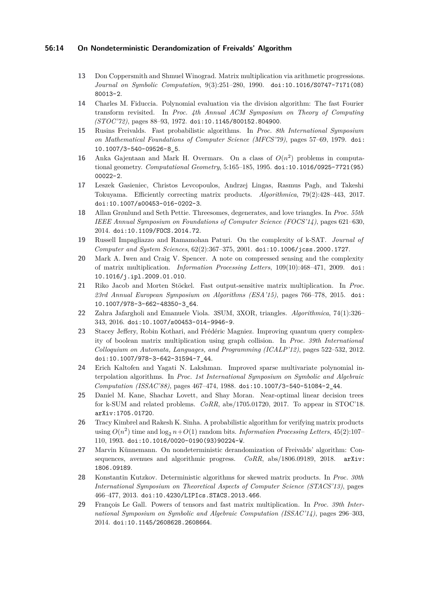#### **56:14 On Nondeterministic Derandomization of Freivalds' Algorithm**

- <span id="page-13-1"></span>**13** Don Coppersmith and Shmuel Winograd. Matrix multiplication via arithmetic progressions. *Journal on Symbolic Computation*, 9(3):251–280, 1990. [doi:10.1016/S0747-7171\(08\)](http://dx.doi.org/10.1016/S0747-7171(08)80013-2) [80013-2](http://dx.doi.org/10.1016/S0747-7171(08)80013-2).
- <span id="page-13-14"></span>**14** Charles M. Fiduccia. Polynomial evaluation via the division algorithm: The fast Fourier transform revisited. In *Proc. 4th Annual ACM Symposium on Theory of Computing (STOC'72)*, pages 88–93, 1972. [doi:10.1145/800152.804900](http://dx.doi.org/10.1145/800152.804900).
- <span id="page-13-3"></span>**15** Rusins Freivalds. Fast probabilistic algorithms. In *Proc. 8th International Symposium on Mathematical Foundations of Computer Science (MFCS'79)*, pages 57–69, 1979. [doi:](http://dx.doi.org/10.1007/3-540-09526-8_5) [10.1007/3-540-09526-8\\_5](http://dx.doi.org/10.1007/3-540-09526-8_5).
- <span id="page-13-6"></span>**16** Anka Gajentaan and Mark H. Overmars. On a class of  $O(n^2)$  problems in computational geometry. *Computational Geometry*, 5:165–185, 1995. [doi:10.1016/0925-7721\(95\)](http://dx.doi.org/10.1016/0925-7721(95)00022-2) [00022-2](http://dx.doi.org/10.1016/0925-7721(95)00022-2).
- <span id="page-13-9"></span>**17** Leszek Gasieniec, Christos Levcopoulos, Andrzej Lingas, Rasmus Pagh, and Takeshi Tokuyama. Efficiently correcting matrix products. *Algorithmica*, 79(2):428–443, 2017. [doi:10.1007/s00453-016-0202-3](http://dx.doi.org/10.1007/s00453-016-0202-3).
- <span id="page-13-15"></span>**18** Allan Grønlund and Seth Pettie. Threesomes, degenerates, and love triangles. In *Proc. 55th IEEE Annual Symposium on Foundations of Computer Science (FOCS'14)*, pages 621–630, 2014. [doi:10.1109/FOCS.2014.72](http://dx.doi.org/10.1109/FOCS.2014.72).
- <span id="page-13-5"></span>**19** Russell Impagliazzo and Ramamohan Paturi. On the complexity of k-SAT. *Journal of Computer and System Sciences*, 62(2):367–375, 2001. [doi:10.1006/jcss.2000.1727](http://dx.doi.org/10.1006/jcss.2000.1727).
- <span id="page-13-12"></span>**20** Mark A. Iwen and Craig V. Spencer. A note on compressed sensing and the complexity of matrix multiplication. *Information Processing Letters*, 109(10):468–471, 2009. [doi:](http://dx.doi.org/10.1016/j.ipl.2009.01.010) [10.1016/j.ipl.2009.01.010](http://dx.doi.org/10.1016/j.ipl.2009.01.010).
- <span id="page-13-13"></span>**21** Riko Jacob and Morten Stöckel. Fast output-sensitive matrix multiplication. In *Proc. 23rd Annual European Symposium on Algorithms (ESA'15)*, pages 766–778, 2015. [doi:](http://dx.doi.org/10.1007/978-3-662-48350-3_64) [10.1007/978-3-662-48350-3\\_64](http://dx.doi.org/10.1007/978-3-662-48350-3_64).
- <span id="page-13-8"></span>**22** Zahra Jafargholi and Emanuele Viola. 3SUM, 3XOR, triangles. *Algorithmica*, 74(1):326– 343, 2016. [doi:10.1007/s00453-014-9946-9](http://dx.doi.org/10.1007/s00453-014-9946-9).
- <span id="page-13-11"></span>**23** Stacey Jeffery, Robin Kothari, and Frédéric Magniez. Improving quantum query complexity of boolean matrix multiplication using graph collision. In *Proc. 39th International Colloquium on Automata, Languages, and Programming (ICALP'12)*, pages 522–532, 2012. [doi:10.1007/978-3-642-31594-7\\_44](http://dx.doi.org/10.1007/978-3-642-31594-7_44).
- <span id="page-13-16"></span>**24** Erich Kaltofen and Yagati N. Lakshman. Improved sparse multivariate polynomial interpolation algorithms. In *Proc. 1st International Symposium on Symbolic and Algebraic Computation (ISSAC'88)*, pages 467–474, 1988. [doi:10.1007/3-540-51084-2\\_44](http://dx.doi.org/10.1007/3-540-51084-2_44).
- <span id="page-13-7"></span>**25** Daniel M. Kane, Shachar Lovett, and Shay Moran. Near-optimal linear decision trees for k-SUM and related problems. *CoRR*, abs/1705.01720, 2017. To appear in STOC'18. [arXiv:1705.01720](http://arxiv.org/abs/1705.01720).
- <span id="page-13-4"></span>**26** Tracy Kimbrel and Rakesh K. Sinha. A probabilistic algorithm for verifying matrix products using  $O(n^2)$  time and  $\log_2 n + O(1)$  random bits. *Information Processing Letters*, 45(2):107– 110, 1993. [doi:10.1016/0020-0190\(93\)90224-W](http://dx.doi.org/10.1016/0020-0190(93)90224-W).
- <span id="page-13-0"></span>**27** Marvin Künnemann. On nondeterministic derandomization of Freivalds' algorithm: Consequences, avenues and algorithmic progress. *CoRR*, abs/1806.09189, 2018. [arXiv:](http://arxiv.org/abs/1806.09189) [1806.09189](http://arxiv.org/abs/1806.09189).
- <span id="page-13-10"></span>**28** Konstantin Kutzkov. Deterministic algorithms for skewed matrix products. In *Proc. 30th International Symposium on Theoretical Aspects of Computer Science (STACS'13)*, pages 466–477, 2013. [doi:10.4230/LIPIcs.STACS.2013.466](http://dx.doi.org/10.4230/LIPIcs.STACS.2013.466).
- <span id="page-13-2"></span>**29** François Le Gall. Powers of tensors and fast matrix multiplication. In *Proc. 39th International Symposium on Symbolic and Algebraic Computation (ISSAC'14)*, pages 296–303, 2014. [doi:10.1145/2608628.2608664](http://dx.doi.org/10.1145/2608628.2608664).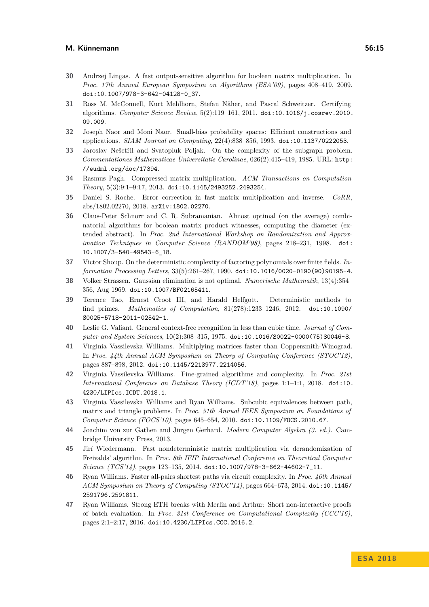- <span id="page-14-13"></span>**30** Andrzej Lingas. A fast output-sensitive algorithm for boolean matrix multiplication. In *Proc. 17th Annual European Symposium on Algorithms (ESA'09)*, pages 408–419, 2009. [doi:10.1007/978-3-642-04128-0\\_37](http://dx.doi.org/10.1007/978-3-642-04128-0_37).
- <span id="page-14-8"></span>**31** Ross M. McConnell, Kurt Mehlhorn, Stefan Näher, and Pascal Schweitzer. Certifying algorithms. *Computer Science Review*, 5(2):119–161, 2011. [doi:10.1016/j.cosrev.2010.](http://dx.doi.org/10.1016/j.cosrev.2010.09.009) [09.009](http://dx.doi.org/10.1016/j.cosrev.2010.09.009).
- <span id="page-14-5"></span>**32** Joseph Naor and Moni Naor. Small-bias probability spaces: Efficient constructions and applications. *SIAM Journal on Computing*, 22(4):838–856, 1993. [doi:10.1137/0222053](http://dx.doi.org/10.1137/0222053).
- <span id="page-14-2"></span>**33** Jaroslav Nešetřil and Svatopluk Poljak. On the complexity of the subgraph problem. *Commentationes Mathematicae Universitatis Carolinae*, 026(2):415–419, 1985. URL: [http:](http://eudml.org/doc/17394) [//eudml.org/doc/17394](http://eudml.org/doc/17394).
- <span id="page-14-10"></span>**34** Rasmus Pagh. Compressed matrix multiplication. *ACM Transactions on Computation Theory*, 5(3):9:1–9:17, 2013. [doi:10.1145/2493252.2493254](http://dx.doi.org/10.1145/2493252.2493254).
- <span id="page-14-11"></span>**35** Daniel S. Roche. Error correction in fast matrix multiplication and inverse. *CoRR*, abs/1802.02270, 2018. [arXiv:1802.02270](http://arxiv.org/abs/1802.02270).
- <span id="page-14-12"></span>**36** Claus-Peter Schnorr and C. R. Subramanian. Almost optimal (on the average) combinatorial algorithms for boolean matrix product witnesses, computing the diameter (extended abstract). In *Proc. 2nd International Workshop on Randomization and Approximation Techniques in Computer Science (RANDOM'98)*, pages 218–231, 1998. [doi:](http://dx.doi.org/10.1007/3-540-49543-6_18) [10.1007/3-540-49543-6\\_18](http://dx.doi.org/10.1007/3-540-49543-6_18).
- <span id="page-14-16"></span>**37** Victor Shoup. On the deterministic complexity of factoring polynomials over finite fields. *Information Processing Letters*, 33(5):261–267, 1990. [doi:10.1016/0020-0190\(90\)90195-4](http://dx.doi.org/10.1016/0020-0190(90)90195-4).
- <span id="page-14-0"></span>**38** Volker Strassen. Gaussian elimination is not optimal. *Numerische Mathematik*, 13(4):354– 356, Aug 1969. [doi:10.1007/BF02165411](http://dx.doi.org/10.1007/BF02165411).
- <span id="page-14-15"></span>**39** Terence Tao, Ernest Croot III, and Harald Helfgott. Deterministic methods to find primes. *Mathematics of Computation*, 81(278):1233–1246, 2012. [doi:10.1090/](http://dx.doi.org/10.1090/S0025-5718-2011-02542-1) [S0025-5718-2011-02542-1](http://dx.doi.org/10.1090/S0025-5718-2011-02542-1).
- <span id="page-14-3"></span>**40** Leslie G. Valiant. General context-free recognition in less than cubic time. *Journal of Computer and System Sciences*, 10(2):308–315, 1975. [doi:10.1016/S0022-0000\(75\)80046-8](http://dx.doi.org/10.1016/S0022-0000(75)80046-8).
- <span id="page-14-1"></span>**41** Virginia Vassilevska Williams. Multiplying matrices faster than Coppersmith-Winograd. In *Proc. 44th Annual ACM Symposium on Theory of Computing Conference (STOC'12)*, pages 887–898, 2012. [doi:10.1145/2213977.2214056](http://dx.doi.org/10.1145/2213977.2214056).
- <span id="page-14-7"></span>**42** Virginia Vassilevska Williams. Fine-grained algorithms and complexity. In *Proc. 21st International Conference on Database Theory (ICDT'18)*, pages 1:1–1:1, 2018. [doi:10.](http://dx.doi.org/10.4230/LIPIcs.ICDT.2018.1) [4230/LIPIcs.ICDT.2018.1](http://dx.doi.org/10.4230/LIPIcs.ICDT.2018.1).
- <span id="page-14-6"></span>**43** Virginia Vassilevska Williams and Ryan Williams. Subcubic equivalences between path, matrix and triangle problems. In *Proc. 51th Annual IEEE Symposium on Foundations of Computer Science (FOCS'10)*, pages 645–654, 2010. [doi:10.1109/FOCS.2010.67](http://dx.doi.org/10.1109/FOCS.2010.67).
- <span id="page-14-14"></span>**44** Joachim von zur Gathen and Jürgen Gerhard. *Modern Computer Algebra (3. ed.)*. Cambridge University Press, 2013.
- **45** Jirí Wiedermann. Fast nondeterministic matrix multiplication via derandomization of Freivalds' algorithm. In *Proc. 8th IFIP International Conference on Theoretical Computer Science (TCS'14)*, pages 123–135, 2014. [doi:10.1007/978-3-662-44602-7\\_11](http://dx.doi.org/10.1007/978-3-662-44602-7_11).
- <span id="page-14-4"></span>**46** Ryan Williams. Faster all-pairs shortest paths via circuit complexity. In *Proc. 46th Annual ACM Symposium on Theory of Computing (STOC'14)*, pages 664–673, 2014. [doi:10.1145/](http://dx.doi.org/10.1145/2591796.2591811) [2591796.2591811](http://dx.doi.org/10.1145/2591796.2591811).
- <span id="page-14-9"></span>**47** Ryan Williams. Strong ETH breaks with Merlin and Arthur: Short non-interactive proofs of batch evaluation. In *Proc. 31st Conference on Computational Complexity (CCC'16)*, pages 2:1–2:17, 2016. [doi:10.4230/LIPIcs.CCC.2016.2](http://dx.doi.org/10.4230/LIPIcs.CCC.2016.2).